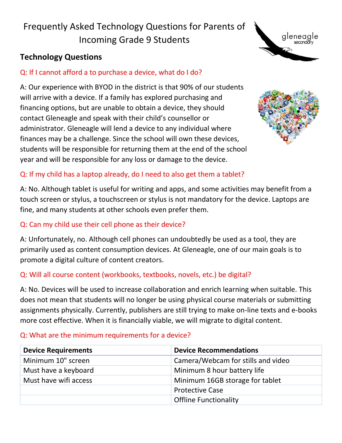# Frequently Asked Technology Questions for Parents of Incoming Grade 9 Students

## **Technology Questions**

## Q: If I cannot afford a to purchase a device, what do I do?

A: Our experience with BYOD in the district is that 90% of our students will arrive with a device. If a family has explored purchasing and financing options, but are unable to obtain a device, they should contact Gleneagle and speak with their child's counsellor or administrator. Gleneagle will lend a device to any individual where finances may be a challenge. Since the school will own these devices, students will be responsible for returning them at the end of the school year and will be responsible for any loss or damage to the device.



gleneagle<br>seconday

#### Q: If my child has a laptop already, do I need to also get them a tablet?

A: No. Although tablet is useful for writing and apps, and some activities may benefit from a touch screen or stylus, a touchscreen or stylus is not mandatory for the device. Laptops are fine, and many students at other schools even prefer them.

#### Q: Can my child use their cell phone as their device?

A: Unfortunately, no. Although cell phones can undoubtedly be used as a tool, they are primarily used as content consumption devices. At Gleneagle, one of our main goals is to promote a digital culture of content creators.

#### Q: Will all course content (workbooks, textbooks, novels, etc.) be digital?

A: No. Devices will be used to increase collaboration and enrich learning when suitable. This does not mean that students will no longer be using physical course materials or submitting assignments physically. Currently, publishers are still trying to make on-line texts and e-books more cost effective. When it is financially viable, we will migrate to digital content.

| <b>Device Requirements</b> | <b>Device Recommendations</b>      |
|----------------------------|------------------------------------|
| Minimum 10" screen         | Camera/Webcam for stills and video |
| Must have a keyboard       | Minimum 8 hour battery life        |
| Must have wifi access      | Minimum 16GB storage for tablet    |
|                            | <b>Protective Case</b>             |
|                            | <b>Offline Functionality</b>       |

#### Q: What are the minimum requirements for a device?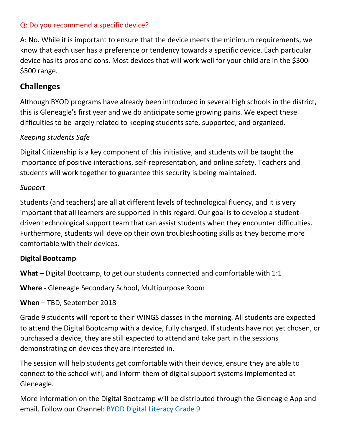#### Q: Do you recommend a specific device?

A: No. While it is important to ensure that the device meets the minimum requirements, we know that each user has a preference or tendency towards a specific device. Each particular device has its pros and cons. Most devices that will work well for your child are in the \$300- \$500 range.

## **Challenges**

Although BYOD programs have already been introduced in several high schools in the district, this is Gleneagle's first year and we do anticipate some growing pains. We expect these difficulties to be largely related to keeping students safe, supported, and organized.

#### *Keeping students Safe*

Digital Citizenship is a key component of this initiative, and students will be taught the importance of positive interactions, self-representation, and online safety. Teachers and students will work together to guarantee this security is being maintained.

#### *Support*

Students (and teachers) are all at different levels of technological fluency, and it is very important that all learners are supported in this regard. Our goal is to develop a studentdriven technological support team that can assist students when they encounter difficulties. Furthermore, students will develop their own troubleshooting skills as they become more comfortable with their devices.

#### **Digital Bootcamp**

**What –** Digital Bootcamp, to get our students connected and comfortable with 1:1

**Where** - Gleneagle Secondary School, Multipurpose Room

#### **When** – TBD, September 2018

Grade 9 students will report to their WINGS classes in the morning. All students are expected to attend the Digital Bootcamp with a device, fully charged. If students have not yet chosen, or purchased a device, they are still expected to attend and take part in the sessions demonstrating on devices they are interested in.

The session will help students get comfortable with their device, ensure they are able to connect to the school wifi, and inform them of digital support systems implemented at Gleneagle.

More information on the Digital Bootcamp will be distributed through the Gleneagle App and email. Follow our Channel: BYOD Digital Literacy Grade 9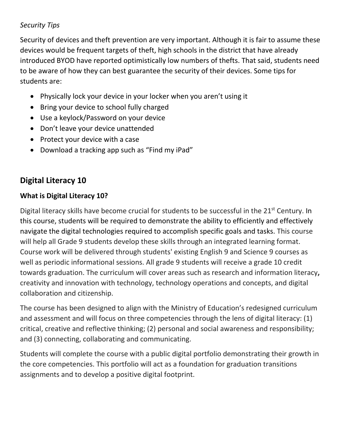## *Security Tips*

Security of devices and theft prevention are very important. Although it is fair to assume these devices would be frequent targets of theft, high schools in the district that have already introduced BYOD have reported optimistically low numbers of thefts. That said, students need to be aware of how they can best guarantee the security of their devices. Some tips for students are:

- Physically lock your device in your locker when you aren't using it
- Bring your device to school fully charged
- Use a keylock/Password on your device
- Don't leave your device unattended
- Protect your device with a case
- Download a tracking app such as "Find my iPad"

## **Digital Literacy 10**

## **What is Digital Literacy 10?**

Digital literacy skills have become crucial for students to be successful in the 21<sup>st</sup> Century. In this course, students will be required to demonstrate the ability to efficiently and effectively navigate the digital technologies required to accomplish specific goals and tasks. This course will help all Grade 9 students develop these skills through an integrated learning format. Course work will be delivered through students' existing English 9 and Science 9 courses as well as periodic informational sessions. All grade 9 students will receive a grade 10 credit towards graduation. The curriculum will cover areas such as research and information literacy**,** creativity and innovation with technology, technology operations and concepts, and digital collaboration and citizenship.

The course has been designed to align with the Ministry of Education's redesigned curriculum and assessment and will focus on three competencies through the lens of digital literacy: (1) critical, creative and reflective thinking; (2) personal and social awareness and responsibility; and (3) connecting, collaborating and communicating.

Students will complete the course with a public digital portfolio demonstrating their growth in the core competencies. This portfolio will act as a foundation for graduation transitions assignments and to develop a positive digital footprint.